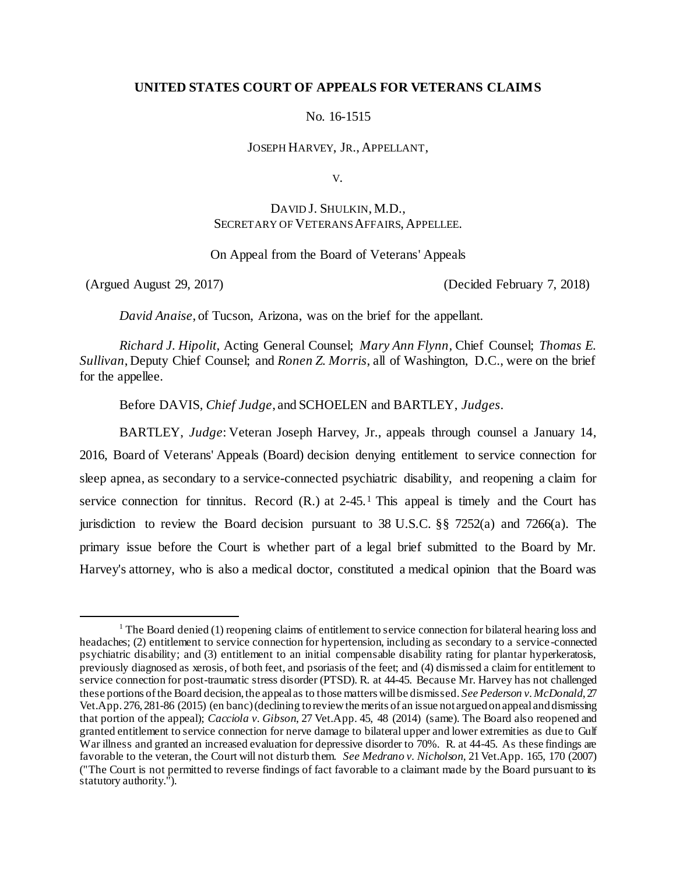## **UNITED STATES COURT OF APPEALS FOR VETERANS CLAIMS**

No. 16-1515

JOSEPH HARVEY, JR., APPELLANT,

V.

# DAVID J. SHULKIN, M.D., SECRETARY OF VETERANS AFFAIRS, APPELLEE.

On Appeal from the Board of Veterans' Appeals

l

(Argued August 29, 2017) (Decided February 7, 2018)

*David Anaise*, of Tucson, Arizona, was on the brief for the appellant.

*Richard J. Hipolit*, Acting General Counsel; *Mary Ann Flynn*, Chief Counsel; *Thomas E. Sullivan*, Deputy Chief Counsel; and *Ronen Z. Morris*, all of Washington, D.C., were on the brief for the appellee.

Before DAVIS, *Chief Judge*, and SCHOELEN and BARTLEY, *Judges*.

BARTLEY, *Judge*: Veteran Joseph Harvey, Jr., appeals through counsel a January 14, 2016, Board of Veterans' Appeals (Board) decision denying entitlement to service connection for sleep apnea, as secondary to a service-connected psychiatric disability, and reopening a claim for service connection for tinnitus. Record (R.) at 2-45.<sup>1</sup> This appeal is timely and the Court has jurisdiction to review the Board decision pursuant to 38 U.S.C.  $\S$   $\S$  7252(a) and 7266(a). The primary issue before the Court is whether part of a legal brief submitted to the Board by Mr. Harvey's attorney, who is also a medical doctor, constituted a medical opinion that the Board was

<sup>&</sup>lt;sup>1</sup> The Board denied (1) reopening claims of entitlement to service connection for bilateral hearing loss and headaches; (2) entitlement to service connection for hypertension, including as secondary to a service-connected psychiatric disability; and (3) entitlement to an initial compensable disability rating for plantar hyperkeratosis, previously diagnosed as xerosis, of both feet, and psoriasis of the feet; and (4) dismissed a claim for entitlement to service connection for post-traumatic stress disorder (PTSD). R. at 44-45. Because Mr. Harvey has not challenged these portions of the Board decision, the appeal as to those matters will be dismissed. *See Pederson v. McDonald*, 27 Vet.App. 276, 281-86 (2015) (en banc) (declining to review the merits of an issue not argued on appeal and dismissing that portion of the appeal); *Cacciola v. Gibson*, 27 Vet.App. 45, 48 (2014) (same). The Board also reopened and granted entitlement to service connection for nerve damage to bilateral upper and lower extremities as due to Gulf War illness and granted an increased evaluation for depressive disorder to 70%. R. at 44-45. As these findings are favorable to the veteran, the Court will not disturb them. *See Medrano v. Nicholson*, 21 Vet.App. 165, 170 (2007) ("The Court is not permitted to reverse findings of fact favorable to a claimant made by the Board pursuant to its statutory authority.").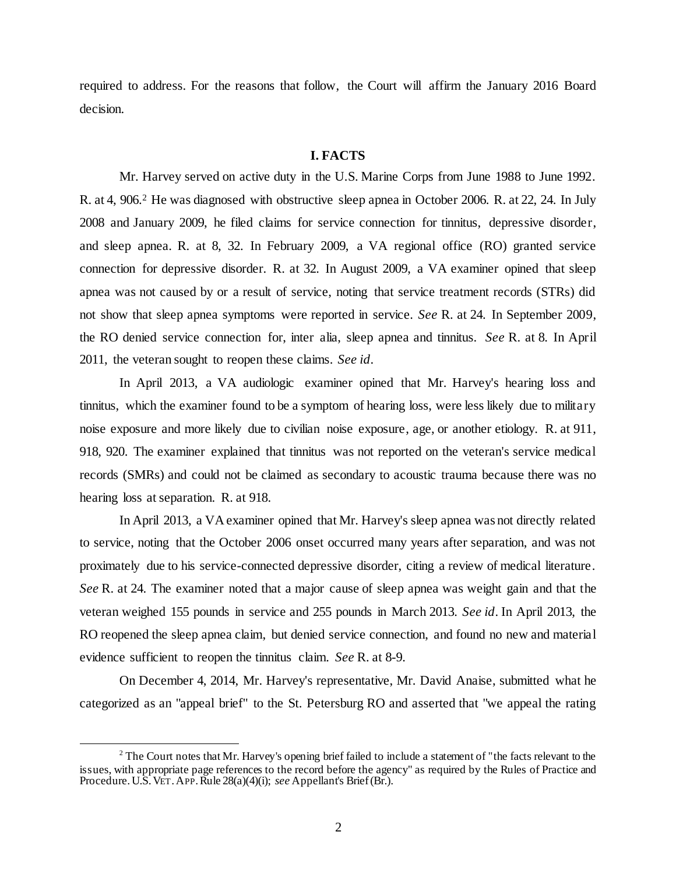required to address. For the reasons that follow, the Court will affirm the January 2016 Board decision.

#### **I. FACTS**

Mr. Harvey served on active duty in the U.S. Marine Corps from June 1988 to June 1992. R. at 4, 906.<sup>2</sup> He was diagnosed with obstructive sleep apnea in October 2006. R. at 22, 24. In July 2008 and January 2009, he filed claims for service connection for tinnitus, depressive disorder, and sleep apnea. R. at 8, 32. In February 2009, a VA regional office (RO) granted service connection for depressive disorder. R. at 32. In August 2009, a VA examiner opined that sleep apnea was not caused by or a result of service, noting that service treatment records (STRs) did not show that sleep apnea symptoms were reported in service. *See* R. at 24. In September 2009, the RO denied service connection for, inter alia, sleep apnea and tinnitus. *See* R. at 8. In April 2011, the veteran sought to reopen these claims. *See id*.

In April 2013, a VA audiologic examiner opined that Mr. Harvey's hearing loss and tinnitus, which the examiner found to be a symptom of hearing loss, were less likely due to military noise exposure and more likely due to civilian noise exposure, age, or another etiology. R. at 911, 918, 920. The examiner explained that tinnitus was not reported on the veteran's service medical records (SMRs) and could not be claimed as secondary to acoustic trauma because there was no hearing loss at separation. R. at 918.

In April 2013, a VA examiner opined that Mr. Harvey's sleep apnea was not directly related to service, noting that the October 2006 onset occurred many years after separation, and was not proximately due to his service-connected depressive disorder, citing a review of medical literature. *See* R. at 24. The examiner noted that a major cause of sleep apnea was weight gain and that the veteran weighed 155 pounds in service and 255 pounds in March 2013. *See id*. In April 2013, the RO reopened the sleep apnea claim, but denied service connection, and found no new and material evidence sufficient to reopen the tinnitus claim. *See* R. at 8-9.

On December 4, 2014, Mr. Harvey's representative, Mr. David Anaise, submitted what he categorized as an "appeal brief" to the St. Petersburg RO and asserted that "we appeal the rating

<sup>&</sup>lt;sup>2</sup> The Court notes that Mr. Harvey's opening brief failed to include a statement of "the facts relevant to the issues, with appropriate page references to the record before the agency" as required by the Rules of Practice and Procedure. U.S. VET. APP. Rule 28(a)(4)(i); *see* Appellant's Brief (Br.).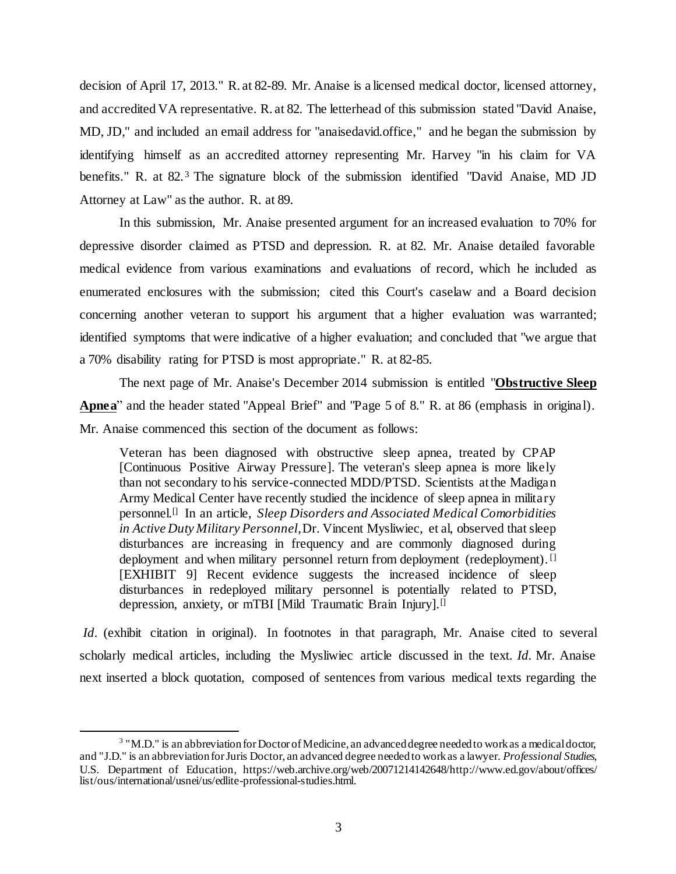decision of April 17, 2013." R. at 82-89. Mr. Anaise is a licensed medical doctor, licensed attorney, and accredited VA representative. R. at 82. The letterhead of this submission stated "David Anaise, MD, JD," and included an email address for "anaisedavid.office," and he began the submission by identifying himself as an accredited attorney representing Mr. Harvey "in his claim for VA benefits." R. at 82. <sup>3</sup> The signature block of the submission identified "David Anaise, MD JD Attorney at Law" as the author. R. at 89.

In this submission, Mr. Anaise presented argument for an increased evaluation to 70% for depressive disorder claimed as PTSD and depression. R. at 82. Mr. Anaise detailed favorable medical evidence from various examinations and evaluations of record, which he included as enumerated enclosures with the submission; cited this Court's caselaw and a Board decision concerning another veteran to support his argument that a higher evaluation was warranted; identified symptoms that were indicative of a higher evaluation; and concluded that "we argue that a 70% disability rating for PTSD is most appropriate." R. at 82-85.

The next page of Mr. Anaise's December 2014 submission is entitled "**Obstructive Sleep Apnea**" and the header stated "Appeal Brief" and "Page 5 of 8." R. at 86 (emphasis in original). Mr. Anaise commenced this section of the document as follows:

Veteran has been diagnosed with obstructive sleep apnea, treated by CPAP [Continuous Positive Airway Pressure]. The veteran's sleep apnea is more likely than not secondary to his service-connected MDD/PTSD. Scientists at the Madigan Army Medical Center have recently studied the incidence of sleep apnea in military personnel.[] In an article, *Sleep Disorders and Associated Medical Comorbidities in Active Duty Military Personnel*, Dr. Vincent Mysliwiec, et al, observed that sleep disturbances are increasing in frequency and are commonly diagnosed during deployment and when military personnel return from deployment (redeployment). <sup>[]</sup> [EXHIBIT 9] Recent evidence suggests the increased incidence of sleep disturbances in redeployed military personnel is potentially related to PTSD, depression, anxiety, or mTBI [Mild Traumatic Brain Injury].<sup>[]</sup>

*Id.* (exhibit citation in original). In footnotes in that paragraph, Mr. Anaise cited to several scholarly medical articles, including the Mysliwiec article discussed in the text. *Id.* Mr. Anaise next inserted a block quotation, composed of sentences from various medical texts regarding the

 $3$  "M.D." is an abbreviation for Doctor of Medicine, an advanced degree needed to work as a medical doctor, and "J.D." is an abbreviation for Juris Doctor, an advanced degree needed to work as a lawyer. *Professional Studies*, U.S. Department of Education, https://web.archive.org/web/20071214142648/http://www.ed.gov/about/offices/ list/ous/international/usnei/us/edlite-professional-studies.html.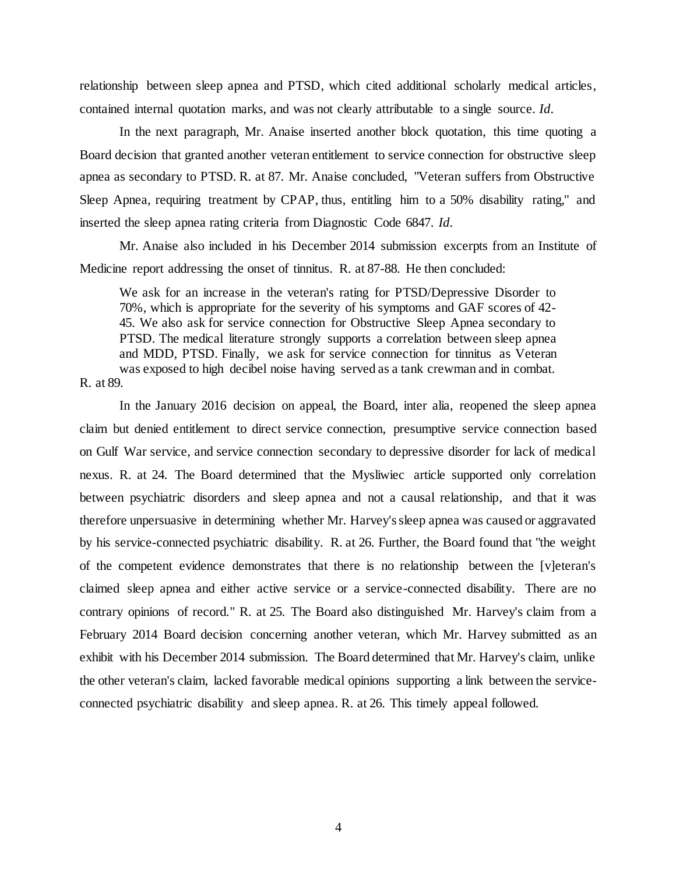relationship between sleep apnea and PTSD, which cited additional scholarly medical articles, contained internal quotation marks, and was not clearly attributable to a single source. *Id.*

In the next paragraph, Mr. Anaise inserted another block quotation, this time quoting a Board decision that granted another veteran entitlement to service connection for obstructive sleep apnea as secondary to PTSD. R. at 87. Mr. Anaise concluded, "Veteran suffers from Obstructive Sleep Apnea, requiring treatment by CPAP, thus, entitling him to a 50% disability rating," and inserted the sleep apnea rating criteria from Diagnostic Code 6847. *Id.*

Mr. Anaise also included in his December 2014 submission excerpts from an Institute of Medicine report addressing the onset of tinnitus. R. at 87-88. He then concluded:

We ask for an increase in the veteran's rating for PTSD/Depressive Disorder to 70%, which is appropriate for the severity of his symptoms and GAF scores of 42- 45. We also ask for service connection for Obstructive Sleep Apnea secondary to PTSD. The medical literature strongly supports a correlation between sleep apnea and MDD, PTSD. Finally, we ask for service connection for tinnitus as Veteran was exposed to high decibel noise having served as a tank crewman and in combat.

R. at 89.

In the January 2016 decision on appeal, the Board, inter alia, reopened the sleep apnea claim but denied entitlement to direct service connection, presumptive service connection based on Gulf War service, and service connection secondary to depressive disorder for lack of medical nexus. R. at 24. The Board determined that the Mysliwiec article supported only correlation between psychiatric disorders and sleep apnea and not a causal relationship, and that it was therefore unpersuasive in determining whether Mr. Harvey'ssleep apnea was caused or aggravated by his service-connected psychiatric disability. R. at 26. Further, the Board found that "the weight of the competent evidence demonstrates that there is no relationship between the [v]eteran's claimed sleep apnea and either active service or a service-connected disability. There are no contrary opinions of record." R. at 25. The Board also distinguished Mr. Harvey's claim from a February 2014 Board decision concerning another veteran, which Mr. Harvey submitted as an exhibit with his December 2014 submission. The Board determined that Mr. Harvey's claim, unlike the other veteran's claim, lacked favorable medical opinions supporting a link between the serviceconnected psychiatric disability and sleep apnea. R. at 26. This timely appeal followed.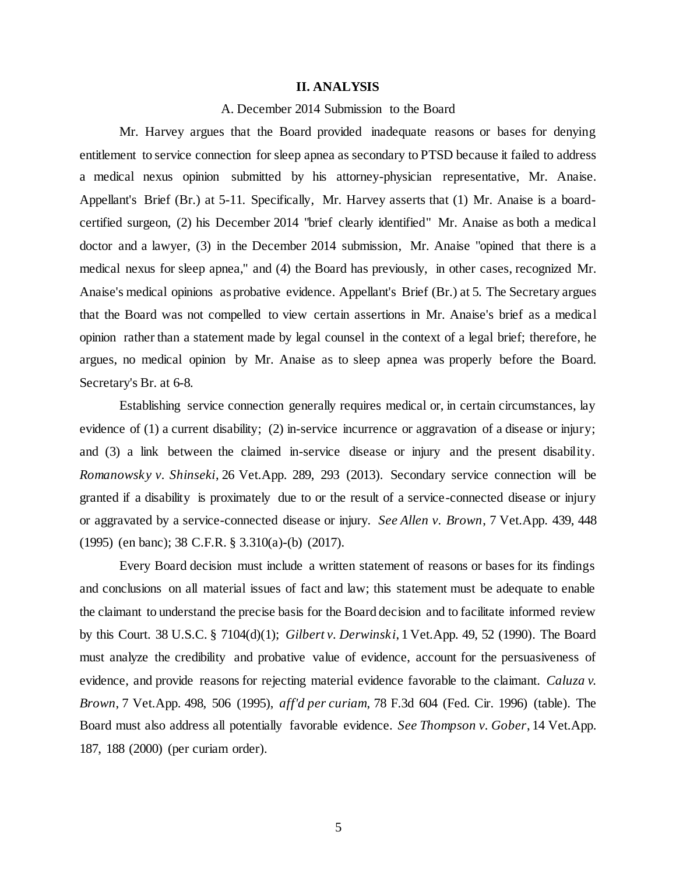#### **II. ANALYSIS**

## A. December 2014 Submission to the Board

Mr. Harvey argues that the Board provided inadequate reasons or bases for denying entitlement to service connection for sleep apnea as secondary to PTSD because it failed to address a medical nexus opinion submitted by his attorney-physician representative, Mr. Anaise. Appellant's Brief (Br.) at 5-11. Specifically, Mr. Harvey asserts that (1) Mr. Anaise is a boardcertified surgeon, (2) his December 2014 "brief clearly identified" Mr. Anaise as both a medical doctor and a lawyer, (3) in the December 2014 submission, Mr. Anaise "opined that there is a medical nexus for sleep apnea," and (4) the Board has previously, in other cases, recognized Mr. Anaise's medical opinions as probative evidence. Appellant's Brief (Br.) at 5. The Secretary argues that the Board was not compelled to view certain assertions in Mr. Anaise's brief as a medical opinion rather than a statement made by legal counsel in the context of a legal brief; therefore, he argues, no medical opinion by Mr. Anaise as to sleep apnea was properly before the Board. Secretary's Br. at 6-8.

Establishing service connection generally requires medical or, in certain circumstances, lay evidence of (1) a current disability; (2) in-service incurrence or aggravation of a disease or injury; and (3) a link between the claimed in-service disease or injury and the present disability. *Romanowsky v. Shinseki*, 26 Vet.App. 289, 293 (2013). Secondary service connection will be granted if a disability is proximately due to or the result of a service-connected disease or injury or aggravated by a service-connected disease or injury. *See Allen v. Brown*, 7 Vet.App. 439, 448 (1995) (en banc); 38 C.F.R. § 3.310(a)-(b) (2017).

Every Board decision must include a written statement of reasons or bases for its findings and conclusions on all material issues of fact and law; this statement must be adequate to enable the claimant to understand the precise basis for the Board decision and to facilitate informed review by this Court. 38 U.S.C. § 7104(d)(1); *Gilbert v. Derwinski*, 1 Vet.App. 49, 52 (1990). The Board must analyze the credibility and probative value of evidence, account for the persuasiveness of evidence, and provide reasons for rejecting material evidence favorable to the claimant. *Caluza v. Brown*, 7 Vet.App. 498, 506 (1995), *aff'd per curiam*, 78 F.3d 604 (Fed. Cir. 1996) (table). The Board must also address all potentially favorable evidence. *See Thompson v. Gober*, 14 Vet.App. 187, 188 (2000) (per curiam order).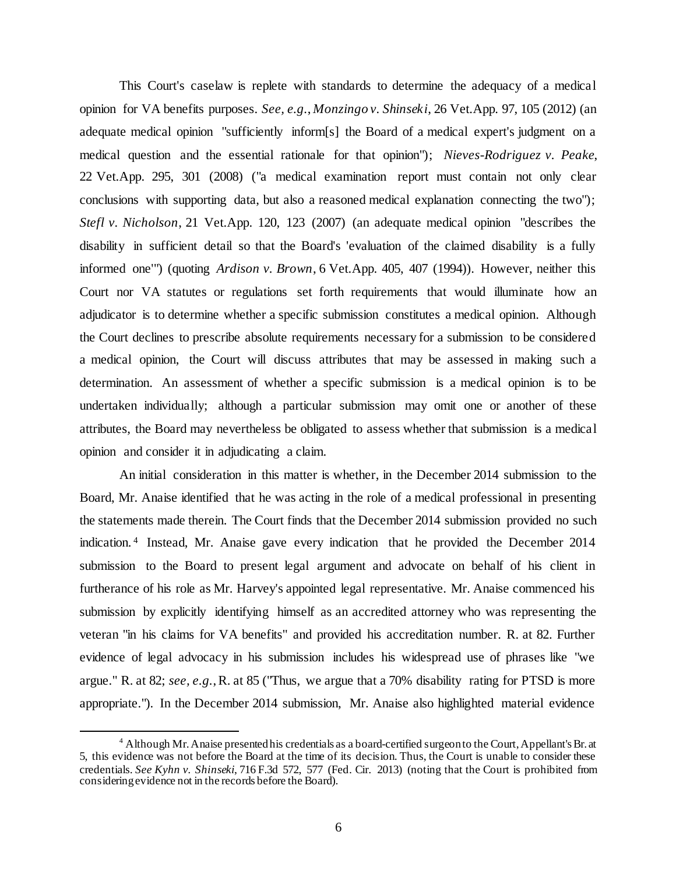This Court's caselaw is replete with standards to determine the adequacy of a medical opinion for VA benefits purposes. *See, e.g.*, *Monzingo v. Shinseki*, 26 Vet.App. 97, 105 (2012) (an adequate medical opinion "sufficiently inform[s] the Board of a medical expert's judgment on a medical question and the essential rationale for that opinion"); *Nieves-Rodriguez v. Peake*, 22 Vet.App. 295, 301 (2008) ("a medical examination report must contain not only clear conclusions with supporting data, but also a reasoned medical explanation connecting the two"); *Stefl v. Nicholson*, 21 Vet.App. 120, 123 (2007) (an adequate medical opinion "describes the disability in sufficient detail so that the Board's 'evaluation of the claimed disability is a fully informed one'") (quoting *Ardison v. Brown*, 6 Vet.App. 405, 407 (1994)). However, neither this Court nor VA statutes or regulations set forth requirements that would illuminate how an adjudicator is to determine whether a specific submission constitutes a medical opinion. Although the Court declines to prescribe absolute requirements necessary for a submission to be considered a medical opinion, the Court will discuss attributes that may be assessed in making such a determination. An assessment of whether a specific submission is a medical opinion is to be undertaken individually; although a particular submission may omit one or another of these attributes, the Board may nevertheless be obligated to assess whether that submission is a medical opinion and consider it in adjudicating a claim.

An initial consideration in this matter is whether, in the December 2014 submission to the Board, Mr. Anaise identified that he was acting in the role of a medical professional in presenting the statements made therein. The Court finds that the December 2014 submission provided no such indication. 4 Instead, Mr. Anaise gave every indication that he provided the December 2014 submission to the Board to present legal argument and advocate on behalf of his client in furtherance of his role as Mr. Harvey's appointed legal representative. Mr. Anaise commenced his submission by explicitly identifying himself as an accredited attorney who was representing the veteran "in his claims for VA benefits" and provided his accreditation number. R. at 82. Further evidence of legal advocacy in his submission includes his widespread use of phrases like "we argue." R. at 82; *see, e.g.*, R. at 85 ("Thus, we argue that a 70% disability rating for PTSD is more appropriate."). In the December 2014 submission, Mr. Anaise also highlighted material evidence

<sup>&</sup>lt;sup>4</sup> Although Mr. Anaise presented his credentials as a board-certified surgeon to the Court, Appellant's Br. at 5, this evidence was not before the Board at the time of its decision. Thus, the Court is unable to consider these credentials. *See Kyhn v. Shinseki*, 716 F.3d 572, 577 (Fed. Cir. 2013) (noting that the Court is prohibited from considering evidence not in the records before the Board).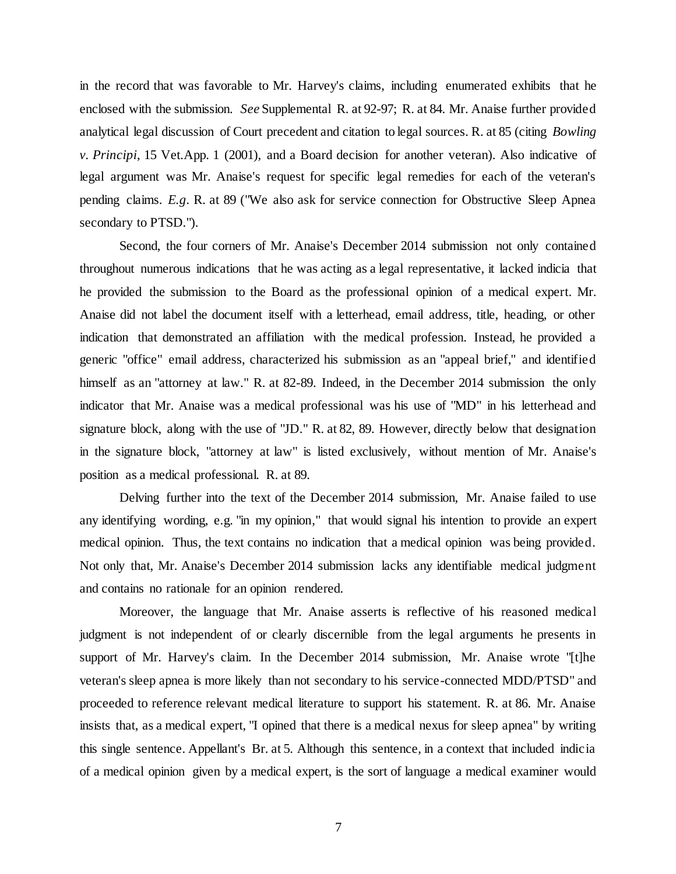in the record that was favorable to Mr. Harvey's claims, including enumerated exhibits that he enclosed with the submission. *See* Supplemental R. at 92-97; R. at 84. Mr. Anaise further provided analytical legal discussion of Court precedent and citation to legal sources. R. at 85 (citing *Bowling v. Principi*, 15 Vet.App. 1 (2001), and a Board decision for another veteran). Also indicative of legal argument was Mr. Anaise's request for specific legal remedies for each of the veteran's pending claims. *E.g.* R. at 89 ("We also ask for service connection for Obstructive Sleep Apnea secondary to PTSD.").

Second, the four corners of Mr. Anaise's December 2014 submission not only contained throughout numerous indications that he was acting as a legal representative, it lacked indicia that he provided the submission to the Board as the professional opinion of a medical expert. Mr. Anaise did not label the document itself with a letterhead, email address, title, heading, or other indication that demonstrated an affiliation with the medical profession. Instead, he provided a generic "office" email address, characterized his submission as an "appeal brief," and identified himself as an "attorney at law." R. at 82-89. Indeed, in the December 2014 submission the only indicator that Mr. Anaise was a medical professional was his use of "MD" in his letterhead and signature block, along with the use of "JD." R. at 82, 89. However, directly below that designation in the signature block, "attorney at law" is listed exclusively, without mention of Mr. Anaise's position as a medical professional. R. at 89.

Delving further into the text of the December 2014 submission, Mr. Anaise failed to use any identifying wording, e.g. "in my opinion," that would signal his intention to provide an expert medical opinion. Thus, the text contains no indication that a medical opinion was being provided. Not only that, Mr. Anaise's December 2014 submission lacks any identifiable medical judgment and contains no rationale for an opinion rendered.

Moreover, the language that Mr. Anaise asserts is reflective of his reasoned medical judgment is not independent of or clearly discernible from the legal arguments he presents in support of Mr. Harvey's claim. In the December 2014 submission, Mr. Anaise wrote "[t]he veteran's sleep apnea is more likely than not secondary to his service-connected MDD/PTSD" and proceeded to reference relevant medical literature to support his statement. R. at 86. Mr. Anaise insists that, as a medical expert, "I opined that there is a medical nexus for sleep apnea" by writing this single sentence. Appellant's Br. at 5. Although this sentence, in a context that included indicia of a medical opinion given by a medical expert, is the sort of language a medical examiner would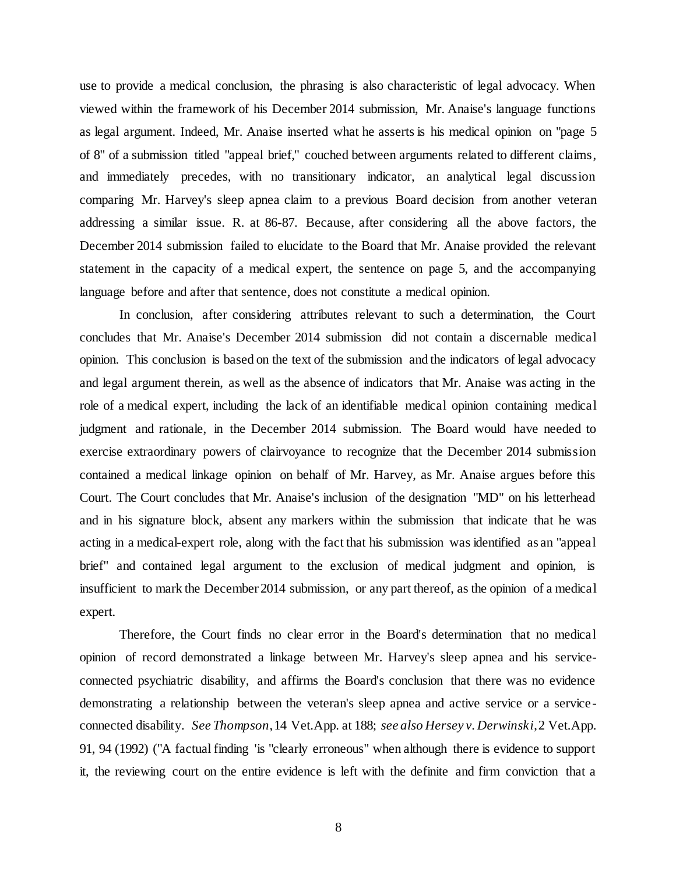use to provide a medical conclusion, the phrasing is also characteristic of legal advocacy. When viewed within the framework of his December 2014 submission, Mr. Anaise's language functions as legal argument. Indeed, Mr. Anaise inserted what he asserts is his medical opinion on "page 5 of 8" of a submission titled "appeal brief," couched between arguments related to different claims, and immediately precedes, with no transitionary indicator, an analytical legal discussion comparing Mr. Harvey's sleep apnea claim to a previous Board decision from another veteran addressing a similar issue. R. at 86-87. Because, after considering all the above factors, the December 2014 submission failed to elucidate to the Board that Mr. Anaise provided the relevant statement in the capacity of a medical expert, the sentence on page 5, and the accompanying language before and after that sentence, does not constitute a medical opinion.

In conclusion, after considering attributes relevant to such a determination, the Court concludes that Mr. Anaise's December 2014 submission did not contain a discernable medical opinion. This conclusion is based on the text of the submission and the indicators of legal advocacy and legal argument therein, as well as the absence of indicators that Mr. Anaise was acting in the role of a medical expert, including the lack of an identifiable medical opinion containing medical judgment and rationale, in the December 2014 submission. The Board would have needed to exercise extraordinary powers of clairvoyance to recognize that the December 2014 submission contained a medical linkage opinion on behalf of Mr. Harvey, as Mr. Anaise argues before this Court. The Court concludes that Mr. Anaise's inclusion of the designation "MD" on his letterhead and in his signature block, absent any markers within the submission that indicate that he was acting in a medical-expert role, along with the fact that his submission was identified as an "appeal brief" and contained legal argument to the exclusion of medical judgment and opinion, is insufficient to mark the December 2014 submission, or any part thereof, as the opinion of a medical expert.

Therefore, the Court finds no clear error in the Board's determination that no medical opinion of record demonstrated a linkage between Mr. Harvey's sleep apnea and his serviceconnected psychiatric disability, and affirms the Board's conclusion that there was no evidence demonstrating a relationship between the veteran's sleep apnea and active service or a serviceconnected disability. *See Thompson*, 14 Vet.App. at 188; *see also Hersey v. Derwinski*, 2 Vet.App. 91, 94 (1992) ("A factual finding 'is "clearly erroneous" when although there is evidence to support it, the reviewing court on the entire evidence is left with the definite and firm conviction that a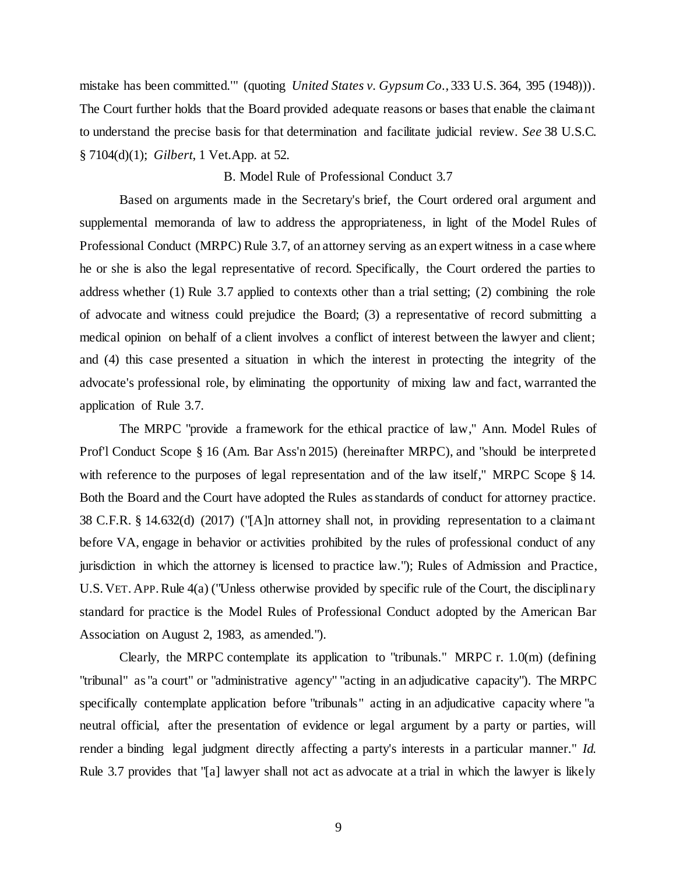mistake has been committed.'" (quoting *United States v. Gypsum Co.*, 333 U.S. 364, 395 (1948))). The Court further holds that the Board provided adequate reasons or bases that enable the claimant to understand the precise basis for that determination and facilitate judicial review. *See* 38 U.S.C. § 7104(d)(1); *Gilbert*, 1 Vet.App. at 52.

### B. Model Rule of Professional Conduct 3.7

Based on arguments made in the Secretary's brief, the Court ordered oral argument and supplemental memoranda of law to address the appropriateness, in light of the Model Rules of Professional Conduct (MRPC) Rule 3.7, of an attorney serving as an expert witness in a case where he or she is also the legal representative of record. Specifically, the Court ordered the parties to address whether (1) Rule 3.7 applied to contexts other than a trial setting; (2) combining the role of advocate and witness could prejudice the Board; (3) a representative of record submitting a medical opinion on behalf of a client involves a conflict of interest between the lawyer and client; and (4) this case presented a situation in which the interest in protecting the integrity of the advocate's professional role, by eliminating the opportunity of mixing law and fact, warranted the application of Rule 3.7.

The MRPC "provide a framework for the ethical practice of law," Ann. Model Rules of Prof'l Conduct Scope § 16 (Am. Bar Ass'n 2015) (hereinafter MRPC), and "should be interpreted with reference to the purposes of legal representation and of the law itself," MRPC Scope § 14. Both the Board and the Court have adopted the Rules as standards of conduct for attorney practice. 38 C.F.R. § 14.632(d) (2017) ("[A]n attorney shall not, in providing representation to a claimant before VA, engage in behavior or activities prohibited by the rules of professional conduct of any jurisdiction in which the attorney is licensed to practice law."); Rules of Admission and Practice, U.S. VET. APP.Rule 4(a) ("Unless otherwise provided by specific rule of the Court, the disciplinary standard for practice is the Model Rules of Professional Conduct adopted by the American Bar Association on August 2, 1983, as amended.").

Clearly, the MRPC contemplate its application to "tribunals." MRPC r. 1.0(m) (defining "tribunal" as "a court" or "administrative agency" "acting in an adjudicative capacity"). The MRPC specifically contemplate application before "tribunals" acting in an adjudicative capacity where "a neutral official, after the presentation of evidence or legal argument by a party or parties, will render a binding legal judgment directly affecting a party's interests in a particular manner." *Id.* Rule 3.7 provides that "[a] lawyer shall not act as advocate at a trial in which the lawyer is likely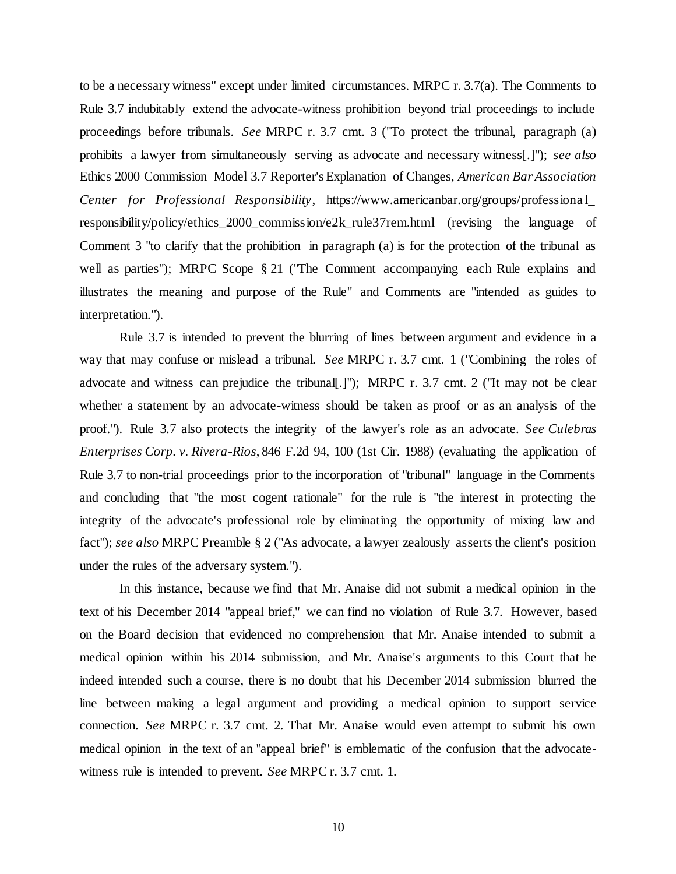to be a necessary witness" except under limited circumstances. MRPC r. 3.7(a). The Comments to Rule 3.7 indubitably extend the advocate-witness prohibition beyond trial proceedings to include proceedings before tribunals. *See* MRPC r. 3.7 cmt. 3 ("To protect the tribunal, paragraph (a) prohibits a lawyer from simultaneously serving as advocate and necessary witness[.]"); *see also*  Ethics 2000 Commission Model 3.7 Reporter's Explanation of Changes, *American Bar Association Center for Professional Responsibility*, https://www.americanbar.org/groups/professiona l\_ responsibility/policy/ethics\_2000\_commission/e2k\_rule37rem.html (revising the language of Comment 3 "to clarify that the prohibition in paragraph (a) is for the protection of the tribunal as well as parties"); MRPC Scope § 21 ("The Comment accompanying each Rule explains and illustrates the meaning and purpose of the Rule" and Comments are "intended as guides to interpretation.").

Rule 3.7 is intended to prevent the blurring of lines between argument and evidence in a way that may confuse or mislead a tribunal. *See* MRPC r. 3.7 cmt. 1 ("Combining the roles of advocate and witness can prejudice the tribunal[.]"); MRPC r. 3.7 cmt. 2 ("It may not be clear whether a statement by an advocate-witness should be taken as proof or as an analysis of the proof."). Rule 3.7 also protects the integrity of the lawyer's role as an advocate. *See Culebras Enterprises Corp. v. Rivera-Rios*, 846 F.2d 94, 100 (1st Cir. 1988) (evaluating the application of Rule 3.7 to non-trial proceedings prior to the incorporation of "tribunal" language in the Comments and concluding that "the most cogent rationale" for the rule is "the interest in protecting the integrity of the advocate's professional role by eliminating the opportunity of mixing law and fact"); *see also* MRPC Preamble § 2 ("As advocate, a lawyer zealously asserts the client's position under the rules of the adversary system.").

In this instance, because we find that Mr. Anaise did not submit a medical opinion in the text of his December 2014 "appeal brief," we can find no violation of Rule 3.7. However, based on the Board decision that evidenced no comprehension that Mr. Anaise intended to submit a medical opinion within his 2014 submission, and Mr. Anaise's arguments to this Court that he indeed intended such a course, there is no doubt that his December 2014 submission blurred the line between making a legal argument and providing a medical opinion to support service connection. *See* MRPC r. 3.7 cmt. 2. That Mr. Anaise would even attempt to submit his own medical opinion in the text of an "appeal brief" is emblematic of the confusion that the advocatewitness rule is intended to prevent. *See* MRPC r. 3.7 cmt. 1.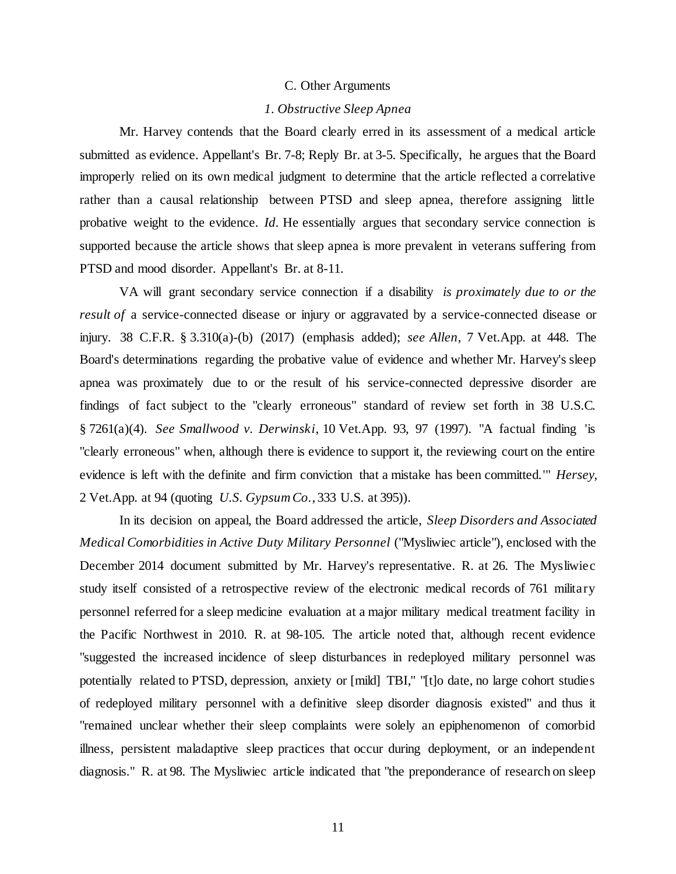#### C. Other Arguments

### *1. Obstructive Sleep Apnea*

Mr. Harvey contends that the Board clearly erred in its assessment of a medical article submitted as evidence. Appellant's Br. 7-8; Reply Br. at 3-5. Specifically, he argues that the Board improperly relied on its own medical judgment to determine that the article reflected a correlative rather than a causal relationship between PTSD and sleep apnea, therefore assigning little probative weight to the evidence. *Id.* He essentially argues that secondary service connection is supported because the article shows that sleep apnea is more prevalent in veterans suffering from PTSD and mood disorder. Appellant's Br. at 8-11.

VA will grant secondary service connection if a disability *is proximately due to or the result of* a service-connected disease or injury or aggravated by a service-connected disease or injury. 38 C.F.R. § 3.310(a)-(b) (2017) (emphasis added); *see Allen*, 7 Vet.App. at 448. The Board's determinations regarding the probative value of evidence and whether Mr. Harvey's sleep apnea was proximately due to or the result of his service-connected depressive disorder are findings of fact subject to the "clearly erroneous" standard of review set forth in 38 U.S.C. § 7261(a)(4). *See Smallwood v. Derwinski*, 10 Vet.App. 93, 97 (1997). "A factual finding 'is "clearly erroneous" when, although there is evidence to support it, the reviewing court on the entire evidence is left with the definite and firm conviction that a mistake has been committed.'" *Hersey*, 2 Vet.App. at 94 (quoting *U.S. Gypsum Co.*, 333 U.S. at 395)).

In its decision on appeal, the Board addressed the article, *Sleep Disorders and Associated Medical Comorbidities in Active Duty Military Personnel* ("Mysliwiec article"), enclosed with the December 2014 document submitted by Mr. Harvey's representative. R. at 26. The Mysliwiec study itself consisted of a retrospective review of the electronic medical records of 761 military personnel referred for a sleep medicine evaluation at a major military medical treatment facility in the Pacific Northwest in 2010. R. at 98-105. The article noted that, although recent evidence "suggested the increased incidence of sleep disturbances in redeployed military personnel was potentially related to PTSD, depression, anxiety or [mild] TBI," "[t]o date, no large cohort studies of redeployed military personnel with a definitive sleep disorder diagnosis existed" and thus it "remained unclear whether their sleep complaints were solely an epiphenomenon of comorbid illness, persistent maladaptive sleep practices that occur during deployment, or an independent diagnosis." R. at 98. The Mysliwiec article indicated that "the preponderance of research on sleep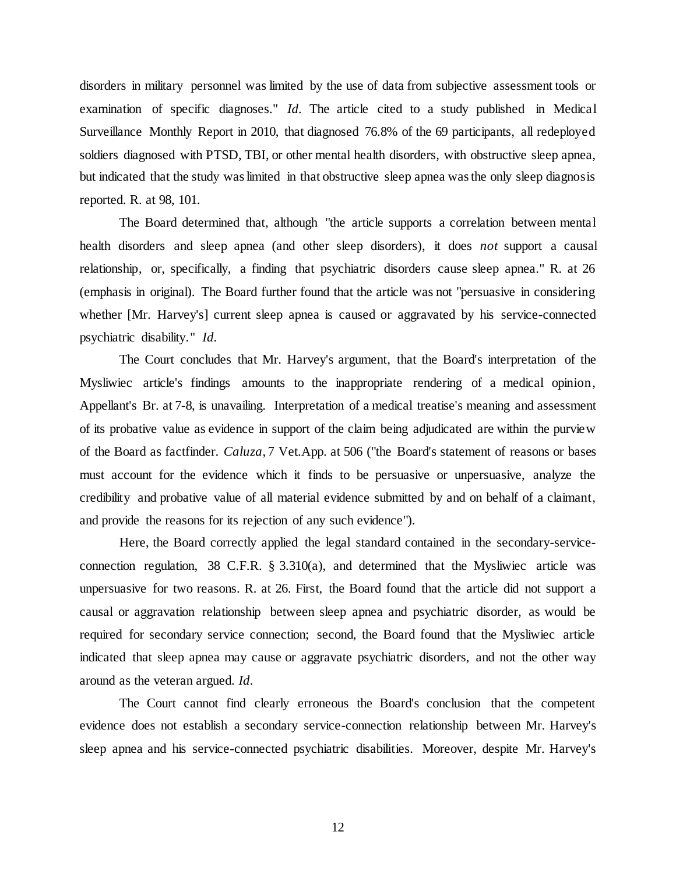disorders in military personnel was limited by the use of data from subjective assessment tools or examination of specific diagnoses." *Id*. The article cited to a study published in Medical Surveillance Monthly Report in 2010, that diagnosed 76.8% of the 69 participants, all redeployed soldiers diagnosed with PTSD, TBI, or other mental health disorders, with obstructive sleep apnea, but indicated that the study was limited in that obstructive sleep apnea was the only sleep diagnosis reported. R. at 98, 101.

The Board determined that, although "the article supports a correlation between mental health disorders and sleep apnea (and other sleep disorders), it does *not* support a causal relationship, or, specifically, a finding that psychiatric disorders cause sleep apnea." R. at 26 (emphasis in original). The Board further found that the article was not "persuasive in considering whether [Mr. Harvey's] current sleep apnea is caused or aggravated by his service-connected psychiatric disability." *Id.*

The Court concludes that Mr. Harvey's argument, that the Board's interpretation of the Mysliwiec article's findings amounts to the inappropriate rendering of a medical opinion, Appellant's Br. at 7-8, is unavailing. Interpretation of a medical treatise's meaning and assessment of its probative value as evidence in support of the claim being adjudicated are within the purview of the Board as factfinder. *Caluza*, 7 Vet.App. at 506 ("the Board's statement of reasons or bases must account for the evidence which it finds to be persuasive or unpersuasive, analyze the credibility and probative value of all material evidence submitted by and on behalf of a claimant, and provide the reasons for its rejection of any such evidence").

Here, the Board correctly applied the legal standard contained in the secondary-serviceconnection regulation, 38 C.F.R. § 3.310(a), and determined that the Mysliwiec article was unpersuasive for two reasons. R. at 26. First, the Board found that the article did not support a causal or aggravation relationship between sleep apnea and psychiatric disorder, as would be required for secondary service connection; second, the Board found that the Mysliwiec article indicated that sleep apnea may cause or aggravate psychiatric disorders, and not the other way around as the veteran argued. *Id.*

The Court cannot find clearly erroneous the Board's conclusion that the competent evidence does not establish a secondary service-connection relationship between Mr. Harvey's sleep apnea and his service-connected psychiatric disabilities. Moreover, despite Mr. Harvey's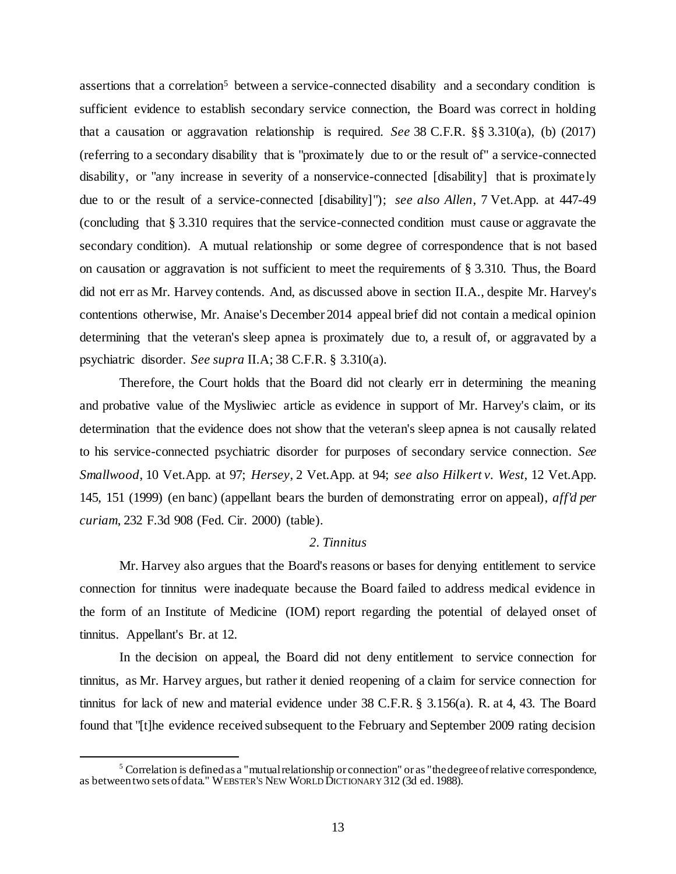assertions that a correlation<sup>5</sup> between a service-connected disability and a secondary condition is sufficient evidence to establish secondary service connection, the Board was correct in holding that a causation or aggravation relationship is required. *See* 38 C.F.R. §§ 3.310(a), (b) (2017) (referring to a secondary disability that is "proximately due to or the result of" a service-connected disability, or "any increase in severity of a nonservice-connected [disability] that is proximately due to or the result of a service-connected [disability]"); *see also Allen*, 7 Vet.App. at 447-49 (concluding that § 3.310 requires that the service-connected condition must cause or aggravate the secondary condition). A mutual relationship or some degree of correspondence that is not based on causation or aggravation is not sufficient to meet the requirements of  $\S 3.310$ . Thus, the Board did not err as Mr. Harvey contends. And, as discussed above in section II.A., despite Mr. Harvey's contentions otherwise, Mr. Anaise's December 2014 appeal brief did not contain a medical opinion determining that the veteran's sleep apnea is proximately due to, a result of, or aggravated by a psychiatric disorder. *See supra* II.A; 38 C.F.R. § 3.310(a).

Therefore, the Court holds that the Board did not clearly err in determining the meaning and probative value of the Mysliwiec article as evidence in support of Mr. Harvey's claim, or its determination that the evidence does not show that the veteran's sleep apnea is not causally related to his service-connected psychiatric disorder for purposes of secondary service connection. *See Smallwood*, 10 Vet.App. at 97; *Hersey*, 2 Vet.App. at 94; *see also Hilkert v. West*, 12 Vet.App. 145, 151 (1999) (en banc) (appellant bears the burden of demonstrating error on appeal), *aff'd per curiam*, 232 F.3d 908 (Fed. Cir. 2000) (table).

# *2. Tinnitus*

Mr. Harvey also argues that the Board's reasons or bases for denying entitlement to service connection for tinnitus were inadequate because the Board failed to address medical evidence in the form of an Institute of Medicine (IOM) report regarding the potential of delayed onset of tinnitus. Appellant's Br. at 12.

In the decision on appeal, the Board did not deny entitlement to service connection for tinnitus, as Mr. Harvey argues, but rather it denied reopening of a claim for service connection for tinnitus for lack of new and material evidence under 38 C.F.R. § 3.156(a). R. at 4, 43. The Board found that "[t]he evidence received subsequent to the February and September 2009 rating decision

<sup>5</sup> Correlation is defined as a "mutual relationship or connection" or as "the degree of relative correspondence, as between two sets of data." WEBSTER'S NEW WORLD DICTIONARY 312 (3d ed. 1988).